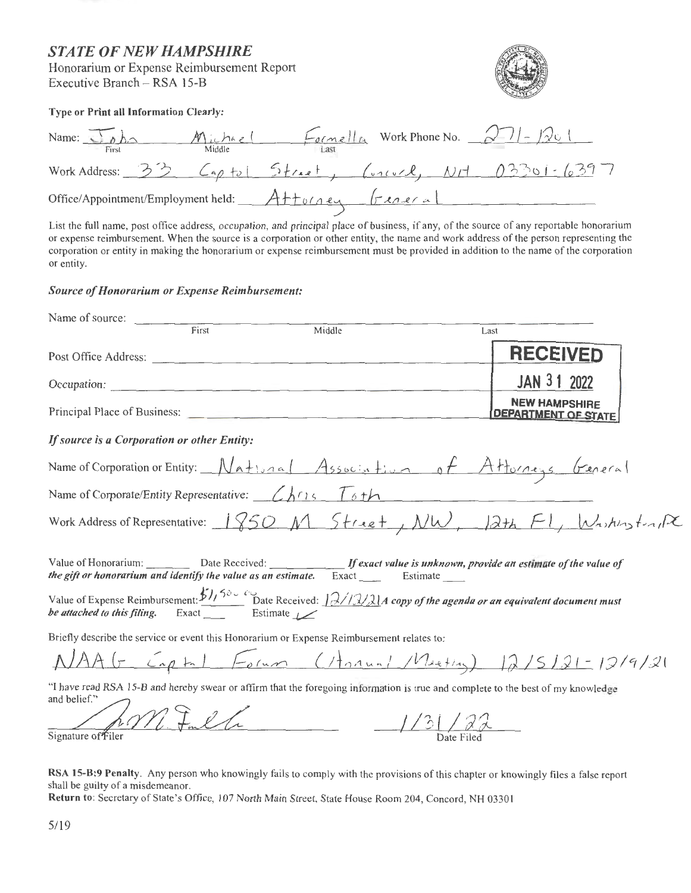### **STATE OF NEW HAMPSHIRE**

Honorarium or Expense Reimbursement Report Executive Branch - RSA 15-B



Type or Print all Information Clearly:

| Name: $\bigcirc$ $\circ$ $\bigcirc$<br>First | $M$ ichar<br>Middle |          | $Example_{n}$ Work Phone No. $271 - 1$ |  |
|----------------------------------------------|---------------------|----------|----------------------------------------|--|
| Work Address: $33$ $697$                     |                     |          |                                        |  |
| Office/Appointment/Employment held:          |                     | Attorney | $ r_{\text{AARA}} $                    |  |

List the full name, post office address, occupation, and principal place of business, if any, of the source of any reportable honorarium or expense reimbursement. When the source is a corporation or other entity, the name and work address of the person representing the corporation or entity in making the honorarium or expense reimbursement must be provided in addition to the name of the corporation or entity.

### **Source of Honorarium or Expense Reimbursement:**

| Name of source:                                                                                                                                                                                                                                                                                                                                                                                    |                          |                                                                                                                                                                                                                         |      |                                                    |  |
|----------------------------------------------------------------------------------------------------------------------------------------------------------------------------------------------------------------------------------------------------------------------------------------------------------------------------------------------------------------------------------------------------|--------------------------|-------------------------------------------------------------------------------------------------------------------------------------------------------------------------------------------------------------------------|------|----------------------------------------------------|--|
|                                                                                                                                                                                                                                                                                                                                                                                                    | $\frac{1}{\text{First}}$ | Middle                                                                                                                                                                                                                  | Last |                                                    |  |
| Post Office Address:                                                                                                                                                                                                                                                                                                                                                                               |                          |                                                                                                                                                                                                                         |      | <b>RECEIVED</b>                                    |  |
|                                                                                                                                                                                                                                                                                                                                                                                                    |                          |                                                                                                                                                                                                                         |      | JAN 31 2022                                        |  |
|                                                                                                                                                                                                                                                                                                                                                                                                    |                          |                                                                                                                                                                                                                         |      | <b>NEW HAMPSHIRE</b><br><b>DEPARTMENT OF STATE</b> |  |
| If source is a Corporation or other Entity:                                                                                                                                                                                                                                                                                                                                                        |                          |                                                                                                                                                                                                                         |      |                                                    |  |
|                                                                                                                                                                                                                                                                                                                                                                                                    |                          | Name of Corporation or Entity: National Association of Attorneys General                                                                                                                                                |      |                                                    |  |
|                                                                                                                                                                                                                                                                                                                                                                                                    |                          | Name of Corporate/Entity Representative: $\angle h \cap \{5, \pm 1\}$                                                                                                                                                   |      |                                                    |  |
|                                                                                                                                                                                                                                                                                                                                                                                                    |                          | Work Address of Representative: 1850 M Street, NW, 12th F1, WashingtonR                                                                                                                                                 |      |                                                    |  |
|                                                                                                                                                                                                                                                                                                                                                                                                    |                          | Value of Honorarium: _________ Date Received: _____________ If exact value is unknown, provide an estimate of the value of<br>the gift or honorarium and identify the value as an estimate. Exact ______ Estimate _____ |      |                                                    |  |
| be attached to this filing. Exact $\frac{1}{\sqrt{1-\frac{1}{\sqrt{1-\frac{1}{\sqrt{1-\frac{1}{\sqrt{1-\frac{1}{\sqrt{1-\frac{1}{\sqrt{1-\frac{1}{\sqrt{1-\frac{1}{\sqrt{1-\frac{1}{\sqrt{1-\frac{1}{\sqrt{1-\frac{1}{\sqrt{1-\frac{1}{\sqrt{1-\frac{1}{\sqrt{1-\frac{1}{\sqrt{1-\frac{1}{\sqrt{1-\frac{1}{\sqrt{1-\frac{1}{\sqrt{1-\frac{1}{\sqrt{1-\frac{1}{\sqrt{1-\frac{1}{\sqrt{1-\frac{1}{\$ |                          | Value of Expense Reimbursement: $\frac{\sum_{i=1}^{n} \sum_{i=1}^{n} \sum_{j=1}^{n} x_j}{n}$ Date Received: $\frac{\sum_{i=1}^{n} \sum_{j=1}^{n} x_j}{n}$ copy of the agenda or an equivalent document must             |      |                                                    |  |
|                                                                                                                                                                                                                                                                                                                                                                                                    |                          | Briefly describe the service or event this Honorarium or Expense Reimbursement relates to:                                                                                                                              |      |                                                    |  |
|                                                                                                                                                                                                                                                                                                                                                                                                    |                          | NAAG Captal Forum (Hannal Meeting) 12/5/21-12/9/21                                                                                                                                                                      |      |                                                    |  |
| and belief." $\Box$                                                                                                                                                                                                                                                                                                                                                                                |                          | "I have read RSA 15-B and hereby swear or affirm that the foregoing information is true and complete to the best of my knowledge                                                                                        |      |                                                    |  |

MF Full Signature of Filer

RSA 15-B:9 Penalty. Any person who knowingly fails to comply with the provisions of this chapter or knowingly files a false report shall be guilty of a misdemeanor.

Return to: Secretary of State's Office, 107 North Main Street, State House Room 204, Concord, NH 03301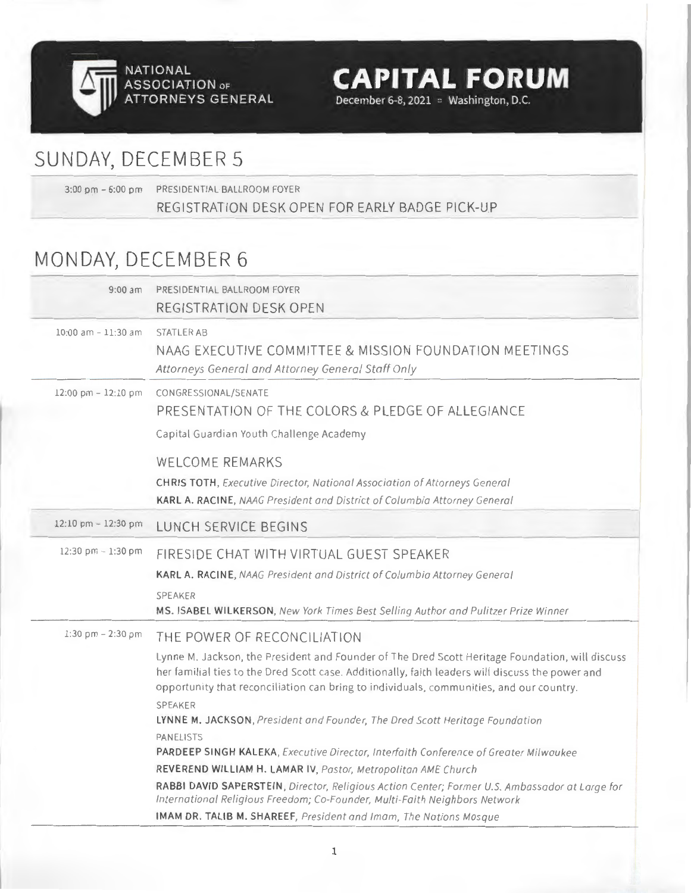

SUNDAY, DECEMBER 5

3:00 pm - 6:00 pm PRESIDENTIAL BALLROOM FOYER REGISTRATION DESK OPEN FOR EARLY BADGE PICK-UP

**CAPITAL FORUM** 

December 6-8, 2021 **washington**, D.C.

## MONDAY, DECEMBER 6

| $9:00$ am              | PRESIDENTIAL BALLROOM FOYER<br>REGISTRATION DESK OPEN                                                                                                                                                                                                                                                                                                                                                                                                                                                                                                                                                                                                                                                                                                                                                                                                            |
|------------------------|------------------------------------------------------------------------------------------------------------------------------------------------------------------------------------------------------------------------------------------------------------------------------------------------------------------------------------------------------------------------------------------------------------------------------------------------------------------------------------------------------------------------------------------------------------------------------------------------------------------------------------------------------------------------------------------------------------------------------------------------------------------------------------------------------------------------------------------------------------------|
| $10:00$ am $-11:30$ am | STATLER AB<br>NAAG EXECUTIVE COMMITTEE & MISSION FOUNDATION MEETINGS<br>Attorneys General and Attorney General Staff Only                                                                                                                                                                                                                                                                                                                                                                                                                                                                                                                                                                                                                                                                                                                                        |
| 12:00 pm - 12:10 pm    | CONGRESSIONAL/SENATE<br>PRESENTATION OF THE COLORS & PLEDGE OF ALLEGIANCE<br>Capital Guardian Youth Challenge Academy                                                                                                                                                                                                                                                                                                                                                                                                                                                                                                                                                                                                                                                                                                                                            |
|                        | <b>WELCOME REMARKS</b><br><b>CHRIS TOTH, Executive Director, National Association of Attorneys General</b><br>KARL A. RACINE, NAAG President and District of Columbia Attorney General                                                                                                                                                                                                                                                                                                                                                                                                                                                                                                                                                                                                                                                                           |
| 12:10 pm $- 12:30$ pm  | LUNCH SERVICE BEGINS                                                                                                                                                                                                                                                                                                                                                                                                                                                                                                                                                                                                                                                                                                                                                                                                                                             |
| 12:30 pm - 1:30 pm     | FIRESIDE CHAT WITH VIRTUAL GUEST SPEAKER<br>KARL A. RACINE, NAAG President and District of Columbia Attorney General<br><b>SPEAKER</b><br>MS. ISABEL WILKERSON, New York Times Best Selling Author and Pulitzer Prize Winner                                                                                                                                                                                                                                                                                                                                                                                                                                                                                                                                                                                                                                     |
| 1:30 pm $- 2:30$ pm    | THE POWER OF RECONCILIATION<br>Lynne M. Jackson, the President and Founder of The Dred Scott Heritage Foundation, will discuss<br>her familial ties to the Dred Scott case. Additionally, faith leaders will discuss the power and<br>opportunity that reconciliation can bring to individuals, communities, and our country.<br><b>SPFAKER</b><br>LYNNE M. JACKSON, President and Founder, The Dred Scott Heritage Foundation<br><b>PANELISTS</b><br>PARDEEP SINGH KALEKA, Executive Director, Interfaith Conference of Greater Milwaukee<br>REVEREND WILLIAM H. LAMAR IV, Pastor, Metropolitan AME Church<br>RABBI DAVID SAPERSTEIN, Director, Religious Action Center; Former U.S. Ambassador at Large for<br>International Religious Freedom; Co-Founder, Multi-Faith Neighbors Network<br>IMAM DR. TALIB M. SHAREEF, President and Imam, The Nations Mosque |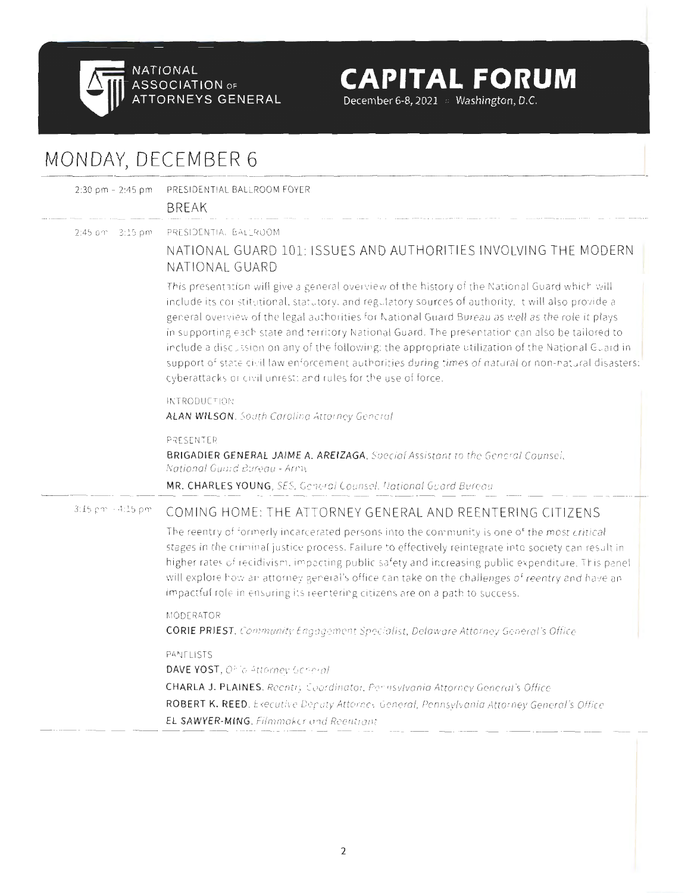

**December 6-8, 2021** •• **Washington, D.C.** 

# MONDAY, DECEMBER 6

2:30 pm - 2:45 pm PRESIDENTIAL BALLROOM FOYER

**BRFAK** 

2:45 pm - 3:15 pm PRESIDENTIAL BALLROOM

### NATIONAL GUARD 101: ISSUES AND AUTHORITIES INVOLVING THE MODERN NATION AL GUA RD

This presentation will give a general overview of the history of the National Guard which will include its constitutional, statutory, and regulatory sources of authority. It will also provide a general overview of the legal authorities for National Guard Bureau as well as the role it plays in supporting each state and territory National Guard. The presentation can also be tailored to include a discussion on any of the following: the appropriate utilization of the National Guard in support of state civil law enforcement authorities during times of natural or non-natural disasters; cyberattacks or civil unrest; and rules for the use of force.

#### INTRODUCTION

**ALAN WILSON ,** South Carolina Attorney General

PRESENTER

**BRIGADIER GENERAL JAIME A. AREIZAGA,** Special Assistant to the General Counsel, Notional Guard Bureau - Army

**MR. CHARLES YOUNG,** SES, General Counsel, Notional Guard Bureau

### 3:15 pm - 4:15 pm COMING HOME: THE ATTORNEY GENERAL AND REENTERING CITIZENS

The reentry of formerly incarcerated persons into the community is one of the most critical stages in the criminal justice process. Failure to effectively reintegrate into society can result in higher rates of recidivism, impacting public safety and increasing public expenditure. This panel will explore how an attorney general's office can take on the challenges of reentry and have an impactful role in ensuring its reentering citizens are on a path to success.

#### MODERATOR

CORIE PRIEST, Community Engagement Specialist, Delaware Attorney General's Office

#### PANELISTS

DAVE YOST, Ohio Attorney General

CHARLA J. PLAINES, Reentry Coordinator, Pennsylvania Attorney General's Office

ROBERT K. REED. Executive Deputy Attorney General, Pennsylvania Attorney General's Office

EL SAWYER-MING, Filmmaker and Reentrant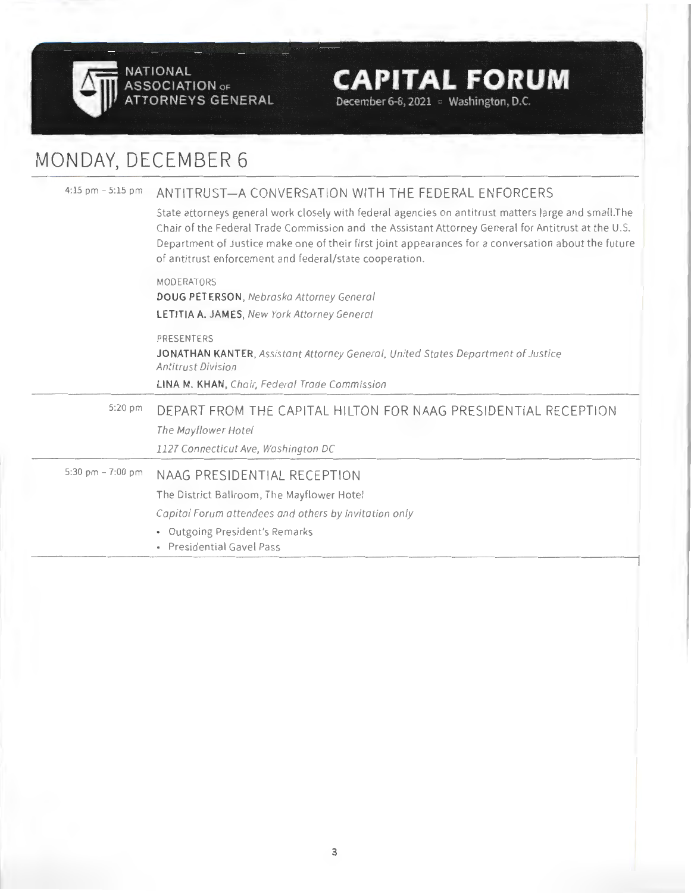

**December 6-8, 2021** •• **Washington, D.C.** 

## MONDAY, DECEMBER 6

| $4:15$ pm $-5:15$ pm | ANTITRUST—A CONVERSATION WITH THE FEDERAL ENFORCERS<br>State attorneys general work closely with federal agencies on antitrust matters large and small. The                                                                                                          |
|----------------------|----------------------------------------------------------------------------------------------------------------------------------------------------------------------------------------------------------------------------------------------------------------------|
|                      | Chair of the Federal Trade Commission and the Assistant Attorney General for Antitrust at the U.S.<br>Department of Justice make one of their first joint appearances for a conversation about the future<br>of antitrust enforcement and federal/state cooperation. |
|                      | MODERATORS                                                                                                                                                                                                                                                           |
|                      | DOUG PETERSON, Nebraska Attorney General<br>LETITIA A. JAMES, New York Attorney General                                                                                                                                                                              |
|                      | PRESENTERS                                                                                                                                                                                                                                                           |
|                      | JONATHAN KANTER, Assistant Attorney General, United States Department of Justice<br><b>Antitrust Division</b>                                                                                                                                                        |
|                      |                                                                                                                                                                                                                                                                      |
|                      | LINA M. KHAN, Chair, Federal Trade Commission                                                                                                                                                                                                                        |
| 5:20 pm              | DEPART FROM THE CAPITAL HILTON FOR NAAG PRESIDENTIAL RECEPTION                                                                                                                                                                                                       |
|                      | The Mayflower Hotel                                                                                                                                                                                                                                                  |
|                      | 1127 Connecticut Ave, Washington DC                                                                                                                                                                                                                                  |
| 5:30 pm - 7:00 pm    | NAAG PRESIDENTIAL RECEPTION                                                                                                                                                                                                                                          |
|                      | The District Ballroom, The Mayflower Hotel                                                                                                                                                                                                                           |
|                      | Capital Forum attendees and others by invitation only                                                                                                                                                                                                                |
|                      | • Outgoing President's Remarks<br>· Presidential Gavel Pass                                                                                                                                                                                                          |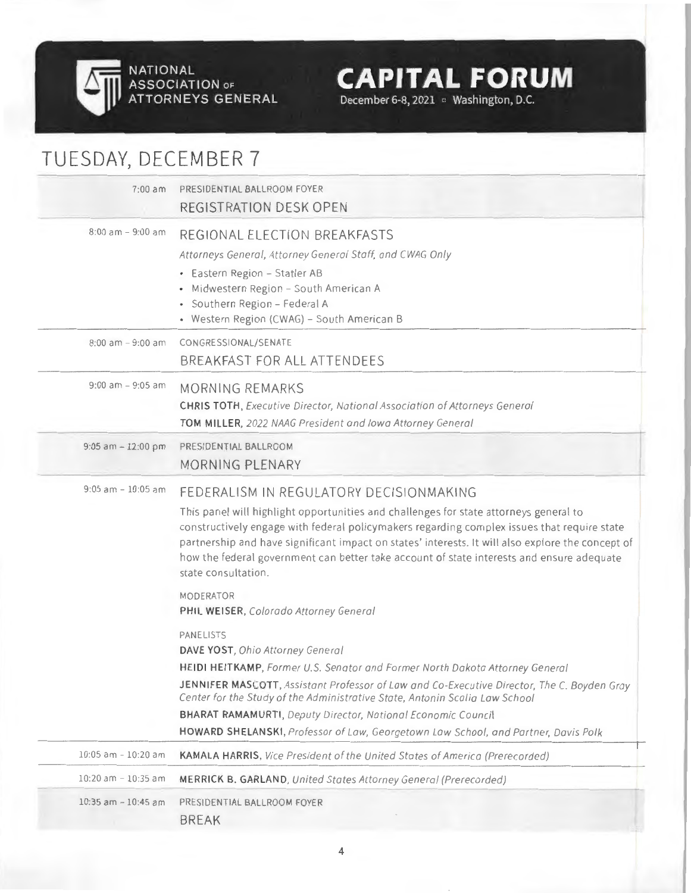

## TUESDAY, DECEMBER 7 7:00 am PRESIDENTIAL BALLROOM FOYER REGISTRATION DESK OPEN 8:00 am - 9:00 am REGIONAL ELECTION BREAKFASTS Attorneys General, Attorney General Stoff, and CWAG Only Eastern Region - Statler AB - Midwestern Region - South American A Southern Region - Federal A Western Region (CWAG) - South American B 8:00 am - 9:00 am CONGRESSIONAL/SENATE BREAKFAST FOR ALL ATTENDEES 9:00 am - 9:05 am MORNING REMARKS CHRIS TOTH, Executive Director, National Association of Attorneys General TOM MILLER, 2022 NAAG President and Iowa Attorney General 9:05 am - 12:00 pm PRESIDENTIAL BALLROOM MORNING PLENARY 9:05 am - 10:05 am FEDERALISM IN REGULATORY DECISIONMAKING This panel will highlight opportunities and challenges for state attorneys general to constructively engage with federal policymakers regarding complex issues that require state partnership and have significant impact on states' interests. It will also explore the concept of how the federal government can better take account of state interests and ensure adequate state consultation. MODERATOR **PHIL WEISER,** Colorado Attorney General PANELISTS DAVE YOST, Ohio Attorney General HEIDI HEITKAMP, Former U.S. Senator and Former North Dakota Attorney General **JENNIFER MASCOTT,** Assistant Professor of Low and Co-Executive Director, The C. Boyden Gray Center for the Study of the Administrative State, Antonin Scalia Low School **BHARAT RAMAMURTI ,** Deputy Director, Notional Economic Council **HOWARD SHELANSKI ,** Professor of Low, Georgetown Low School, and Portner, Davis Polk

**CAPITAL FORUM** 

December 6-8, 2021 • Washington, D.C.

10:05 am - 10 20 am **KAMALA HARRIS,** Vice President of the United States of America (Prerecorded)

10:20 am - 10:35 am **MERRICK B. GARLAND,** United States Attorney General (Prerecorded)

10:35 am - 10:45 am PRESIDENTIAL BALLROOM FOYER

BREAK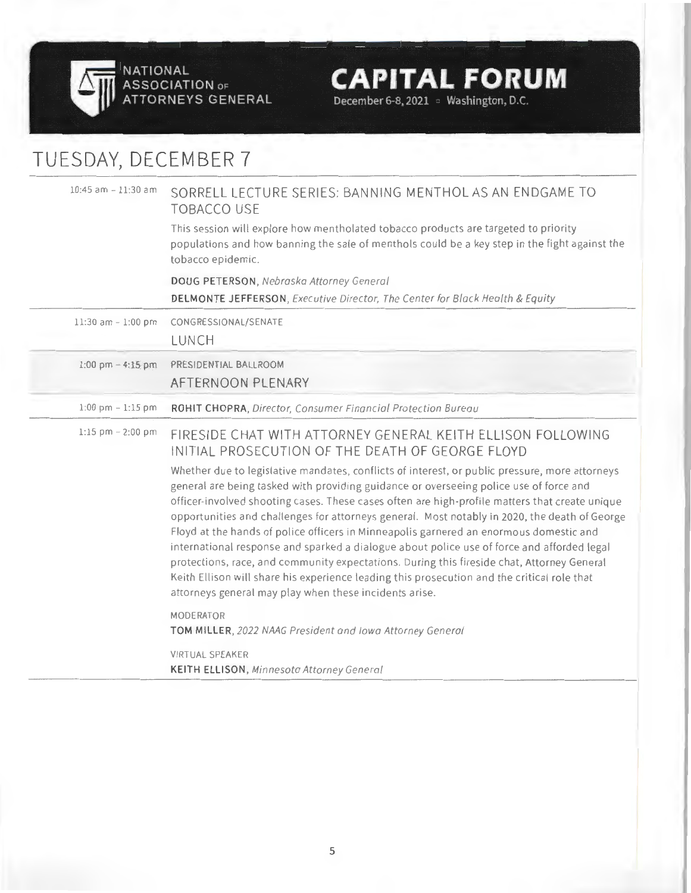

**ASSOCIATION** OF **ATTORNEYS GENERAL** 

# **CAPITAL FORUM**

December 6-8, 2021 **washington, D.C.** 

# TUESDAY, DECEMBER 7

| 10:45 am - 11:30 am   | SORRELL LECTURE SERIES: BANNING MENTHOL AS AN ENDGAME TO<br><b>TOBACCO USE</b>                                                                                                                                                                                                                                                                                                                                                                                                                                                                                                                                                                                                                                                                                                                                                             |
|-----------------------|--------------------------------------------------------------------------------------------------------------------------------------------------------------------------------------------------------------------------------------------------------------------------------------------------------------------------------------------------------------------------------------------------------------------------------------------------------------------------------------------------------------------------------------------------------------------------------------------------------------------------------------------------------------------------------------------------------------------------------------------------------------------------------------------------------------------------------------------|
|                       | This session will explore how mentholated tobacco products are targeted to priority<br>populations and how banning the sale of menthols could be a key step in the fight against the<br>tobacco epidemic.                                                                                                                                                                                                                                                                                                                                                                                                                                                                                                                                                                                                                                  |
|                       | DOUG PETERSON, Nebraska Attorney General                                                                                                                                                                                                                                                                                                                                                                                                                                                                                                                                                                                                                                                                                                                                                                                                   |
|                       | DELMONTE JEFFERSON, Executive Director, The Center for Black Health & Equity                                                                                                                                                                                                                                                                                                                                                                                                                                                                                                                                                                                                                                                                                                                                                               |
| 11:30 am - 1:00 pm    | CONGRESSIONAL/SENATE                                                                                                                                                                                                                                                                                                                                                                                                                                                                                                                                                                                                                                                                                                                                                                                                                       |
|                       | <b>LUNCH</b>                                                                                                                                                                                                                                                                                                                                                                                                                                                                                                                                                                                                                                                                                                                                                                                                                               |
| $1:00$ pm $-4:15$ pm  | PRESIDENTIAL BALLROOM                                                                                                                                                                                                                                                                                                                                                                                                                                                                                                                                                                                                                                                                                                                                                                                                                      |
|                       | AFTERNOON PLENARY                                                                                                                                                                                                                                                                                                                                                                                                                                                                                                                                                                                                                                                                                                                                                                                                                          |
| $1:00$ pm $-1:15$ pm  | ROHIT CHOPRA, Director, Consumer Financial Protection Bureau                                                                                                                                                                                                                                                                                                                                                                                                                                                                                                                                                                                                                                                                                                                                                                               |
| $1:15$ pm $- 2:00$ pm | FIRESIDE CHAT WITH ATTORNEY GENERAL KEITH ELLISON FOLLOWING<br>INITIAL PROSECUTION OF THE DEATH OF GEORGE FLOYD                                                                                                                                                                                                                                                                                                                                                                                                                                                                                                                                                                                                                                                                                                                            |
|                       | Whether due to legislative mandates, conflicts of interest, or public pressure, more attorneys<br>general are being tasked with providing guidance or overseeing police use of force and<br>officer-involved shooting cases. These cases often are high-profile matters that create unique<br>opportunities and challenges for attorneys general. Most notably in 2020, the death of George<br>Floyd at the hands of police officers in Minneapolis garnered an enormous domestic and<br>international response and sparked a dialogue about police use of force and afforded legal<br>protections, race, and community expectations. During this fireside chat, Attorney General<br>Keith Ellison will share his experience leading this prosecution and the critical role that<br>attorneys general may play when these incidents arise. |
|                       | MODERATOR<br>TOM MILLER, 2022 NAAG President and Iowa Attorney General                                                                                                                                                                                                                                                                                                                                                                                                                                                                                                                                                                                                                                                                                                                                                                     |
|                       | VIRTUAL SPEAKER                                                                                                                                                                                                                                                                                                                                                                                                                                                                                                                                                                                                                                                                                                                                                                                                                            |
|                       | <b>KEITH ELLISON</b> , Minnesota Attorney General                                                                                                                                                                                                                                                                                                                                                                                                                                                                                                                                                                                                                                                                                                                                                                                          |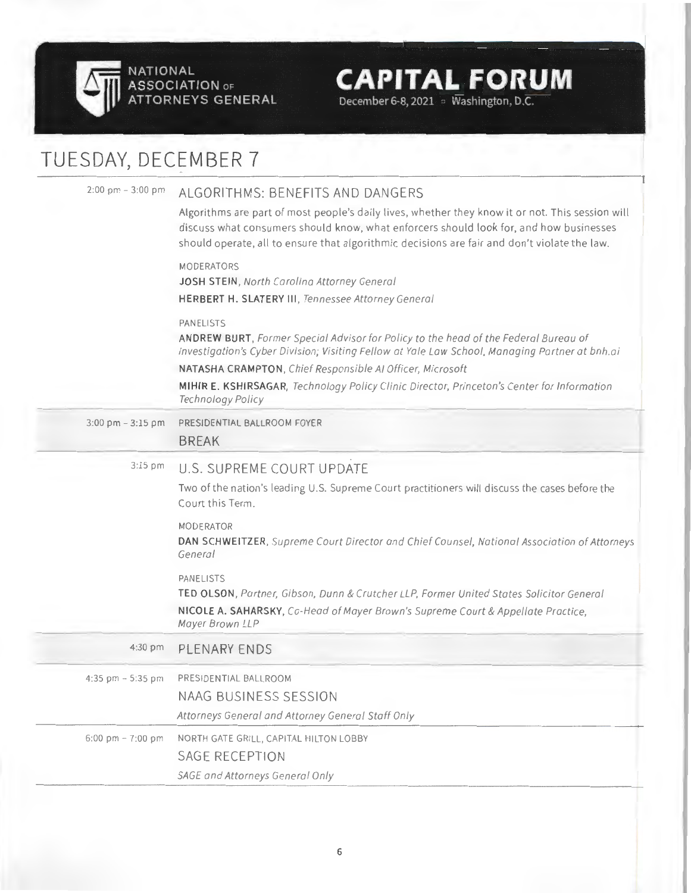

# TUESDAY, DECEMBER 7

| $2:00 \text{ pm} - 3:00 \text{ pm}$ | ALGORITHMS: BENEFITS AND DANGERS<br>Algorithms are part of most people's daily lives, whether they know it or not. This session will<br>discuss what consumers should know, what enforcers should look for, and how businesses<br>should operate, all to ensure that algorithmic decisions are fair and don't violate the law. |
|-------------------------------------|--------------------------------------------------------------------------------------------------------------------------------------------------------------------------------------------------------------------------------------------------------------------------------------------------------------------------------|
|                                     | <b>MODERATORS</b><br>JOSH STEIN, North Carolina Attorney General<br><b>HERBERT H. SLATERY III, Tennessee Attorney General</b>                                                                                                                                                                                                  |
|                                     | <b>PANELISTS</b><br>ANDREW BURT, Former Special Advisor for Policy to the head of the Federal Bureau of<br>Investigation's Cyber Division; Visiting Fellow at Yale Law School, Managing Partner at bnh.ai                                                                                                                      |
|                                     | NATASHA CRAMPTON, Chief Responsible AI Officer, Microsoft<br>MIHIR E. KSHIRSAGAR, Technology Policy Clinic Director, Princeton's Center for Information<br>Technology Policy                                                                                                                                                   |
| $3:00$ pm $-3:15$ pm                | PRESIDENTIAL BALLROOM FOYER<br><b>BREAK</b>                                                                                                                                                                                                                                                                                    |
| $3:15$ pm                           | U.S. SUPREME COURT UPDATE<br>Two of the nation's leading U.S. Supreme Court practitioners will discuss the cases before the<br>Court this Term.                                                                                                                                                                                |
|                                     | MODERATOR<br>DAN SCHWEITZER, Supreme Court Director and Chief Counsel, National Association of Attorneys<br>General                                                                                                                                                                                                            |
|                                     | PANELISTS<br>TED OLSON, Partner, Gibson, Dunn & Crutcher LLP, Former United States Solicitor General<br>NICOLE A. SAHARSKY, Co-Head of Mayer Brown's Supreme Court & Appellate Practice,<br>Mayer Brown LLP                                                                                                                    |
| 4:30 pm                             | PLENARY ENDS                                                                                                                                                                                                                                                                                                                   |
| 4:35 pm $-5:35$ pm                  | PRESIDENTIAL BALLROOM<br><b>NAAG BUSINESS SESSION</b><br>Attorneys General and Attorney General Staff Only                                                                                                                                                                                                                     |
| 6:00 pm $-7:00$ pm                  | NORTH GATE GRILL, CAPITAL HILTON LOBBY<br><b>SAGE RECEPTION</b><br>SAGE and Attorneys General Only                                                                                                                                                                                                                             |

**CAPITAL FORUM** 

December 6-8, 2021 · Washington, D.C.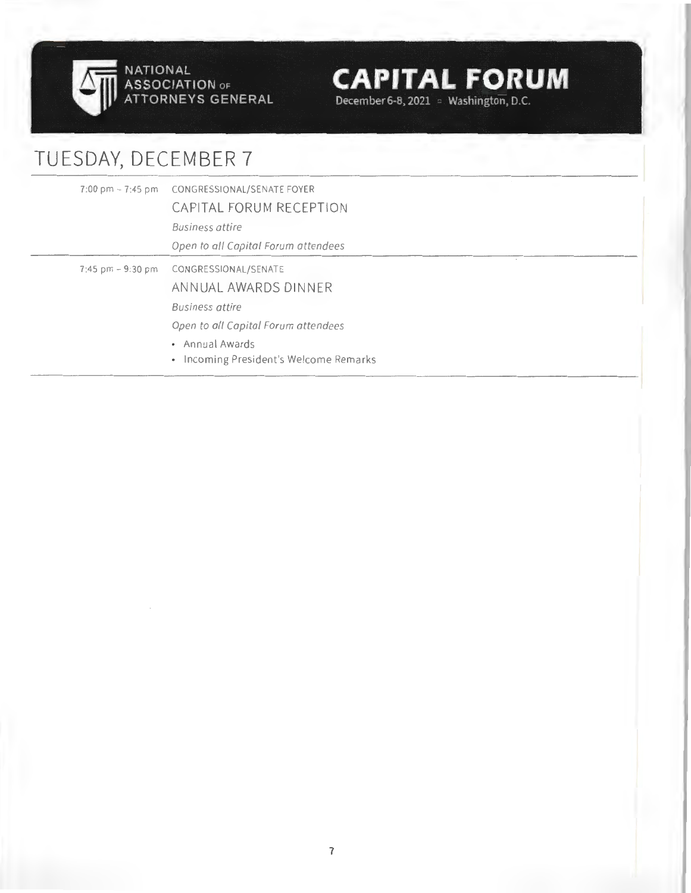

**ASSOCIATION** OF **ATTORNEYS GENERAL**  **CAPITAL FORUM** 

December 6-8, 2021 **washington, D.C.** 

# TUESDAY, DECEMBER 7

|  | 7:00 pm - 7:45 pm CONGRESSIONAL/SENATE FOYER<br>CAPITAL FORUM RECEPTION<br><b>Business attire</b><br>Open to all Capital Forum attendees                                                     |  |
|--|----------------------------------------------------------------------------------------------------------------------------------------------------------------------------------------------|--|
|  | 7:45 pm - 9:30 pm CONGRESSIONAL/SENATE<br>ANNUAL AWARDS DINNER<br><b>Business attire</b><br>Open to all Capital Forum attendees<br>• Annual Awards<br>• Incoming President's Welcome Remarks |  |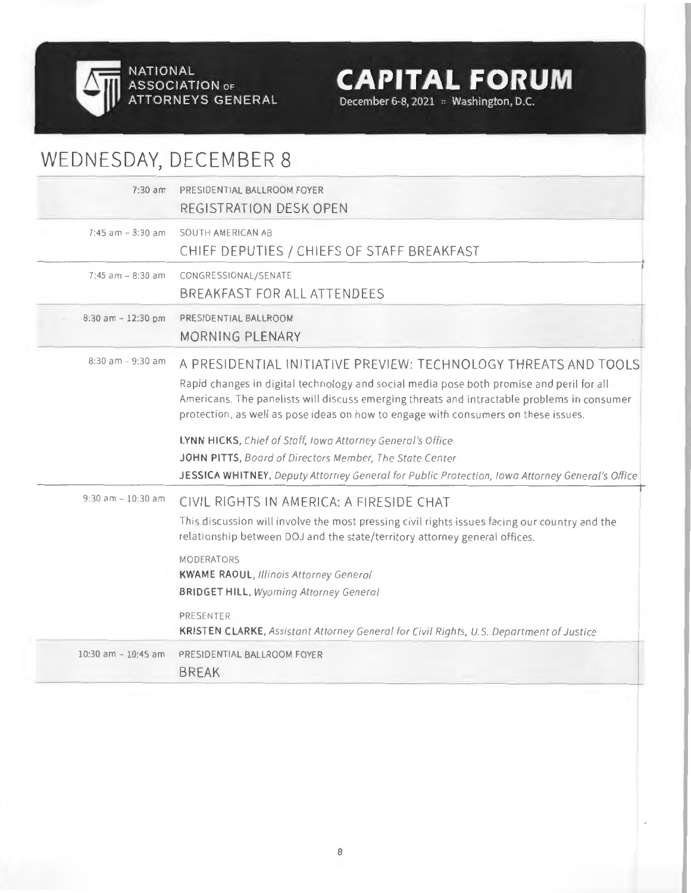

December 6-8, 2021 • Washington, D.C.

| WEDNESDAY, DECEMBER 8  |                                                                                                                                                                                                                                                                                                                                                  |
|------------------------|--------------------------------------------------------------------------------------------------------------------------------------------------------------------------------------------------------------------------------------------------------------------------------------------------------------------------------------------------|
| $7:30$ am              | PRESIDENTIAL BALLROOM FOYER<br>REGISTRATION DESK OPEN                                                                                                                                                                                                                                                                                            |
| $7:45$ am $-8:30$ am   | SOUTH AMERICAN AB<br>CHIEF DEPUTIES / CHIEFS OF STAFF BREAKFAST                                                                                                                                                                                                                                                                                  |
| $7:45$ am $-8:30$ am   | CONGRESSIONAL/SENATE<br>BREAKFAST FOR ALL ATTENDEES                                                                                                                                                                                                                                                                                              |
| $8:30$ am $-12:30$ pm  | PRESIDENTIAL BALLROOM<br><b>MORNING PLENARY</b>                                                                                                                                                                                                                                                                                                  |
| $8:30$ am $-9:30$ am   | A PRESIDENTIAL INITIATIVE PREVIEW: TECHNOLOGY THREATS AND TOOLS<br>Rapid changes in digital technology and social media pose both promise and peril for all<br>Americans. The panelists will discuss emerging threats and intractable problems in consumer<br>protection, as well as pose ideas on how to engage with consumers on these issues. |
|                        | LYNN HICKS, Chief of Staff, Iowa Attorney General's Office<br>JOHN PITTS, Board of Directors Member, The State Center<br>JESSICA WHITNEY, Deputy Attorney General for Public Protection, Iowa Attorney General's Office                                                                                                                          |
| $9:30$ am $-10:30$ am  | CIVIL RIGHTS IN AMERICA: A FIRESIDE CHAT<br>This discussion will involve the most pressing civil rights issues facing our country and the<br>relationship between DOJ and the state/territory attorney general offices.                                                                                                                          |
|                        | <b>MODERATORS</b><br><b>KWAME RAOUL, Illinois Attorney General</b><br><b>BRIDGET HILL, Wyoming Attorney General</b>                                                                                                                                                                                                                              |
|                        | PRESENTER<br>KRISTEN CLARKE, Assistant Attorney General for Civil Rights, U.S. Department of Justice                                                                                                                                                                                                                                             |
| $10:30$ am $-10:45$ am | PRESIDENTIAL BALLROOM FOYER<br><b>BREAK</b>                                                                                                                                                                                                                                                                                                      |